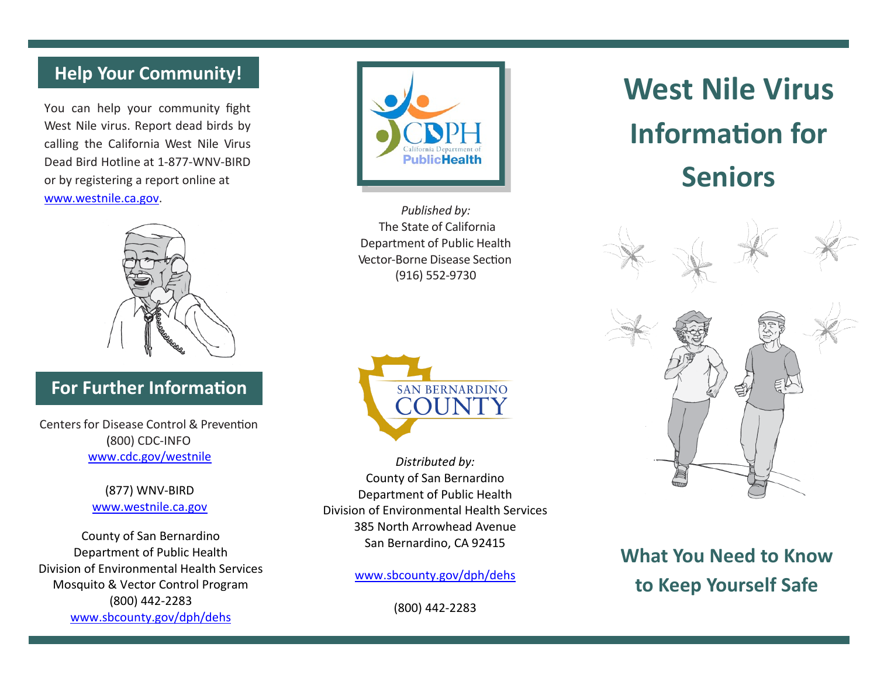## **Help Your Community!**

You can help your community fight West Nile virus. Report dead birds by calling the California West Nile Virus Dead Bird Hotline at 1-877-WNV-BIRD or by registering a report online at ww[w.westnile.ca.gov.](http://www.westnile.ca.gov/)



## **For Further Information**

Centers for Disease Control & Prevention (800) CDC-INFO [www.cdc.gov/westnile](http://www.cdc.gov/westnile)

> (877) WNV-BIRD www.westnile.ca.gov

County of San Bernardino Department of Public Health Division of Environmental Health Services Mosquito & Vector Control Program (800) 442-2283 www.sbcounty.gov/dph/dehs



*Published by:* The State of California Department of Public Health Vector-Borne Disease Section (916) 552-9730



*Distributed by:* County of San Bernardino Department of Public Health Division of Environmental Health Services 385 North Arrowhead Avenue San Bernardino, CA 92415

www.sbcounty.gov/dph/dehs

(800) 442-2283

# **West Nile Virus Information for Seniors**



**What You Need to Know to Keep Yourself Safe**